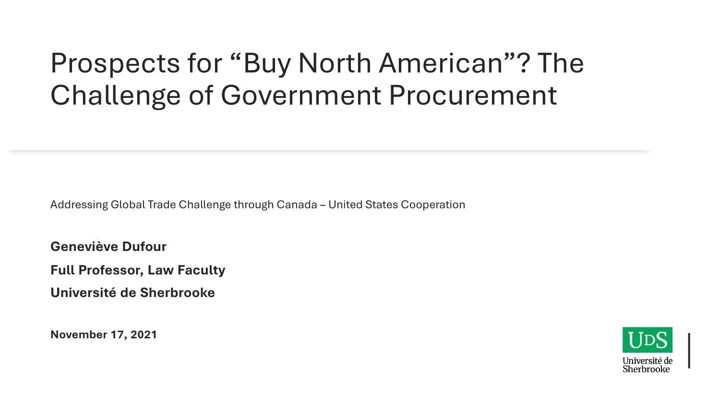## Prospects for "Buy North American"? The Challenge of Government Procurement

Addressing Global Trade Challenge through Canada – United States Cooperation

**Geneviève Dufour** 

**Full Professor, Law Faculty** 

**Université de Sherbrooke**

**November 17, 2021**

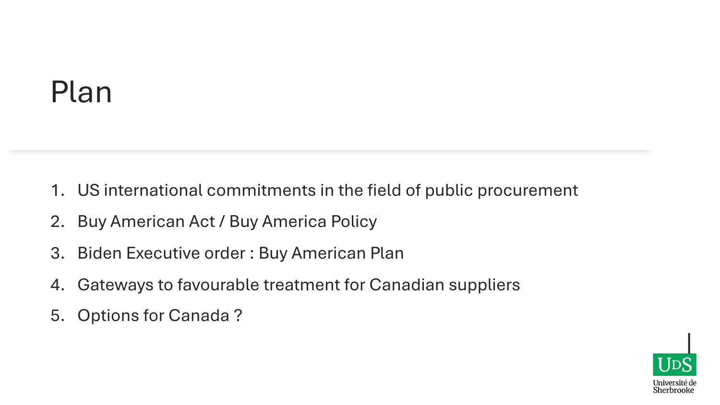## Plan

- 1. US international commitments in the field of public procurement
- 2. Buy American Act / Buy America Policy
- 3. Biden Executive order : Buy American Plan
- 4. Gateways to favourable treatment for Canadian suppliers
- 5. Options for Canada ?

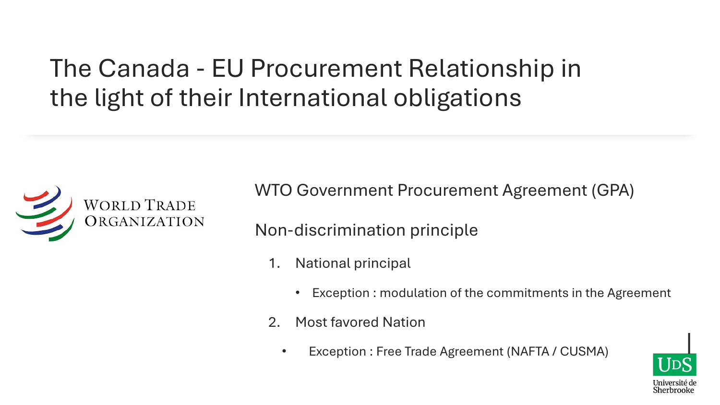### The Canada - EU Procurement Relationship in the light of their International obligations



WTO Government Procurement Agreement (GPA)

Non-discrimination principle

- 1. National principal
	- Exception : modulation of the commitments in the Agreement
- 2. Most favored Nation
	- Exception : Free Trade Agreement (NAFTA / CUSMA)

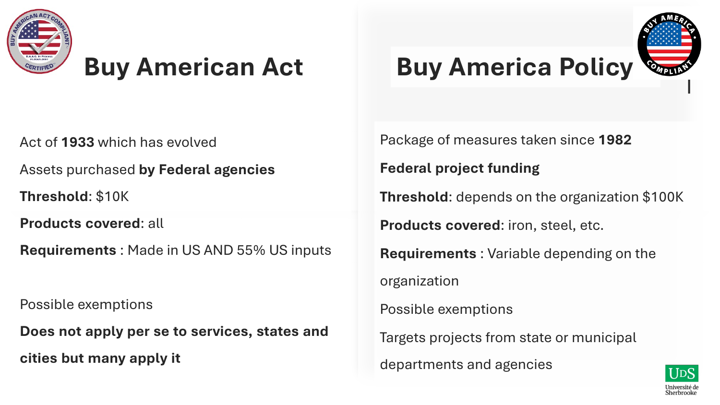

## **Buy American Act**

Act of **1933** which has evolved

Assets purchased **by Federal agencies**

**Threshold**: \$10K

**Products covered**: all

**Requirements** : Made in US AND 55% US inputs

Possible exemptions

**Does not apply per se to services, states and cities but many apply it**

### **Buy America Policy**



Package of measures taken since **1982 Federal project funding Threshold**: depends on the organization \$100K **Products covered**: iron, steel, etc. **Requirements** : Variable depending on the organization Possible exemptions Targets projects from state or municipal departments and agencies

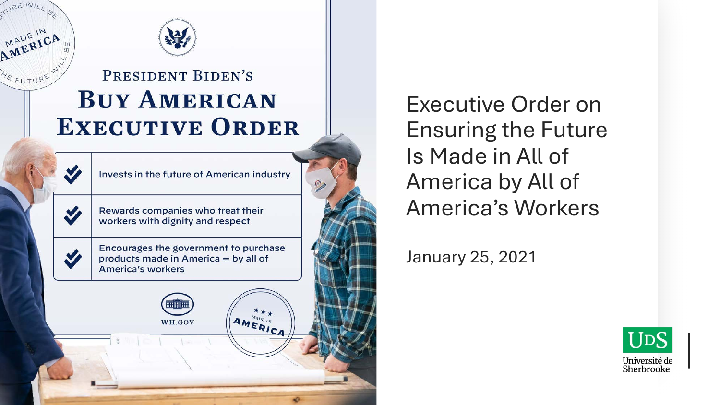

RE WIL

MADE IN A

#### PRESIDENT BIDEN'S **BUY AMERICAN EXECUTIVE ORDER**



m III B

WH.GOV

**AMERICA** 

Executive Order on Ensuring the Future Is Made in All of America by All of America's Workers

January 25, 2021

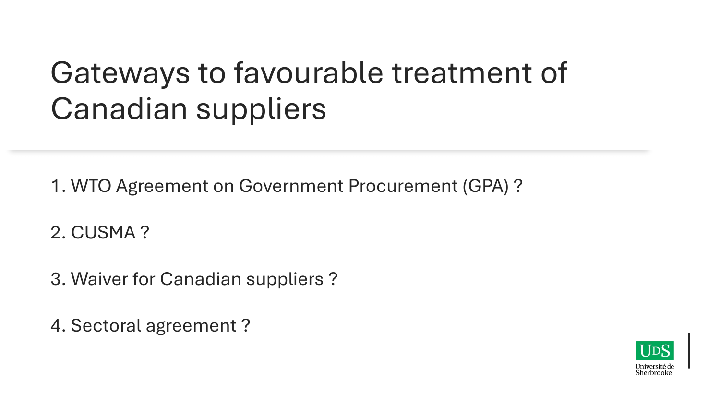# Gateways to favourable treatment of Canadian suppliers

1. WTO Agreement on Government Procurement (GPA) ?

2. CUSMA ?

3. Waiver for Canadian suppliers ?

4. Sectoral agreement ?

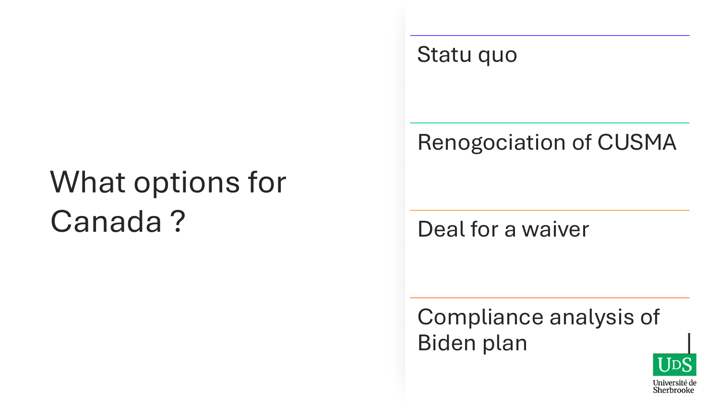# What options for Canada ?

#### Statu quo

#### Renogociation of CUSMA

Deal for a waiver

Compliance analysis of Biden plan